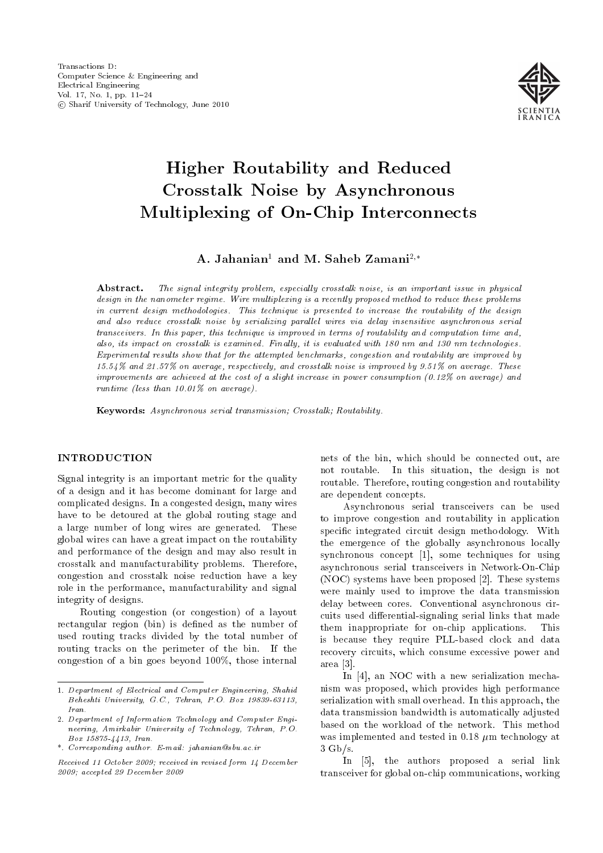

# Higher Routability and Reduced Crosstalk Noise by Asynchronous Multiplexing of On-Chip Interconnects

A. Jahanian<sup>1</sup> and M. Saheb Zamani<sup>2,\*</sup>

Abstract. The signal integrity problem, especially crosstalk noise, is an important issue in physical design in the nanometer regime. Wire multiplexing is a recently proposed method to reduce these problems in current design methodologies. This technique is presented to increase the routability of the design and also reduce crosstalk noise by serializing parallel wires via delay insensitive asynchronous serial transceivers. In this paper, this technique is improved in terms of routability and computation time and, also, its impact on crosstalk is examined. Finally, it is evaluated with 180 nm and 130 nm technologies. Experimental results show that for the attempted benchmarks, congestion and routability are improved by 15.54% and 21.57% on average, respectively, and crosstalk noise is improved by 9.51% on average. These improvements are achieved at the cost of a slight increase in power consumption (0.12% on average) and runtime (less than 10.01% on average).

Keywords: Asynchronous serial transmission; Crosstalk; Routability.

## INTRODUCTION

Signal integrity is an important metric for the quality of a design and it has become dominant for large and complicated designs. In a congested design, many wires have to be detoured at the global routing stage and a large number of long wires are generated. These global wires can have a great impact on the routability and performance of the design and may also result in crosstalk and manufacturability problems. Therefore, congestion and crosstalk noise reduction have a key role in the performance, manufacturability and signal integrity of designs.

Routing congestion (or congestion) of a layout rectangular region (bin) is defined as the number of used routing tracks divided by the total number of routing tracks on the perimeter of the bin. If the congestion of a bin goes beyond 100%, those internal

nets of the bin, which should be connected out, are not routable. In this situation, the design is not routable. Therefore, routing congestion and routability are dependent concepts.

Asynchronous serial transceivers can be used to improve congestion and routability in application specic integrated circuit design methodology. With the emergence of the globally asynchronous locally synchronous concept [1], some techniques for using asynchronous serial transceivers in Network-On-Chip (NOC) systems have been proposed [2]. These systems were mainly used to improve the data transmission delay between cores. Conventional asynchronous circuits used differential-signaling serial links that made them inappropriate for on-chip applications. This is because they require PLL-based clock and data recovery circuits, which consume excessive power and area [3].

In [4], an NOC with a new serialization mechanism was proposed, which provides high performance serialization with small overhead. In this approach, the data transmission bandwidth is automatically adjusted based on the workload of the network. This method was implemented and tested in 0.18  $\mu$ m technology at 3 Gb/s.

In [5], the authors proposed a serial link transceiver for global on-chip communications, working

<sup>1.</sup> Department of Electrical and Computer Engineering, Shahid Beheshti University, G.C., Tehran, P.O. Box 19839-63113, Iran.

<sup>2.</sup> Department of Information Technology and Computer Engineering, Amirkabir University of Technology, Tehran, P.O. Box 15875-4413, Iran.

<sup>\*.</sup> Corresponding author. E-mail: jahanian@sbu.ac.ir

Received 11 October 2009; received in revised form 14 December 2009; accepted 29 December 2009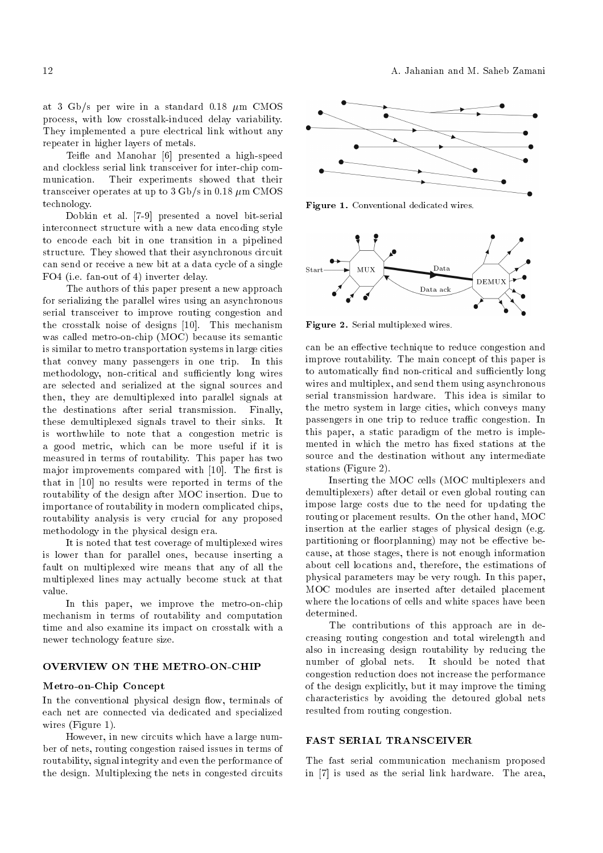at 3 Gb/s per wire in a standard  $0.18 \mu m$  CMOS process, with low crosstalk-induced delay variability. They implemented a pure electrical link without any repeater in higher layers of metals.

Teifle and Manohar [6] presented a high-speed and clockless serial link transceiver for inter-chip communication. Their experiments showed that their transceiver operates at up to 3 Gb/s in 0.18  $\mu$ m CMOS technology.

Dobkin et al. [7-9] presented a novel bit-serial interconnect structure with a new data encoding style to encode each bit in one transition in a pipelined structure. They showed that their asynchronous circuit can send or receive a new bit at a data cycle of a single FO4 (i.e. fan-out of 4) inverter delay.

The authors of this paper present a new approach for serializing the parallel wires using an asynchronous serial transceiver to improve routing congestion and the crosstalk noise of designs [10]. This mechanism was called metro-on-chip (MOC) because its semantic is similar to metro transportation systems in large cities that convey many passengers in one trip. In this methodology, non-critical and sufficiently long wires are selected and serialized at the signal sources and then, they are demultiplexed into parallel signals at the destinations after serial transmission. Finally, these demultiplexed signals travel to their sinks. It is worthwhile to note that a congestion metric is a good metric, which can be more useful if it is measured in terms of routability. This paper has two major improvements compared with [10]. The first is that in [10] no results were reported in terms of the routability of the design after MOC insertion. Due to importance of routability in modern complicated chips, routability analysis is very crucial for any proposed methodology in the physical design era.

It is noted that test coverage of multiplexed wires is lower than for parallel ones, because inserting a fault on multiplexed wire means that any of all the multiplexed lines may actually become stuck at that value.

In this paper, we improve the metro-on-chip mechanism in terms of routability and computation time and also examine its impact on crosstalk with a newer technology feature size.

#### OVERVIEW ON THE METRO-ON-CHIP

## Metro-on-Chip Concept

In the conventional physical design flow, terminals of each net are connected via dedicated and specialized wires (Figure 1).

However, in new circuits which have a large number of nets, routing congestion raised issues in terms of routability, signal integrity and even the performance of the design. Multiplexing the nets in congested circuits



Figure 1. Conventional dedicated wires.



Figure 2. Serial multiplexed wires.

can be an effective technique to reduce congestion and improve routability. The main concept of this paper is to automatically find non-critical and sufficiently long wires and multiplex, and send them using asynchronous serial transmission hardware. This idea is similar to the metro system in large cities, which conveys many passengers in one trip to reduce traffic congestion. In this paper, a static paradigm of the metro is implemented in which the metro has fixed stations at the source and the destination without any intermediate stations (Figure 2).

Inserting the MOC cells (MOC multiplexers and demultiplexers) after detail or even global routing can impose large costs due to the need for updating the routing or placement results. On the other hand, MOC insertion at the earlier stages of physical design (e.g. partitioning or floorplanning) may not be effective because, at those stages, there is not enough information about cell locations and, therefore, the estimations of physical parameters may be very rough. In this paper, MOC modules are inserted after detailed placement where the locations of cells and white spaces have been determined.

The contributions of this approach are in decreasing routing congestion and total wirelength and also in increasing design routability by reducing the number of global nets. It should be noted that congestion reduction does not increase the performance of the design explicitly, but it may improve the timing characteristics by avoiding the detoured global nets resulted from routing congestion.

## FAST SERIAL TRANSCEIVER

The fast serial communication mechanism proposed in [7] is used as the serial link hardware. The area,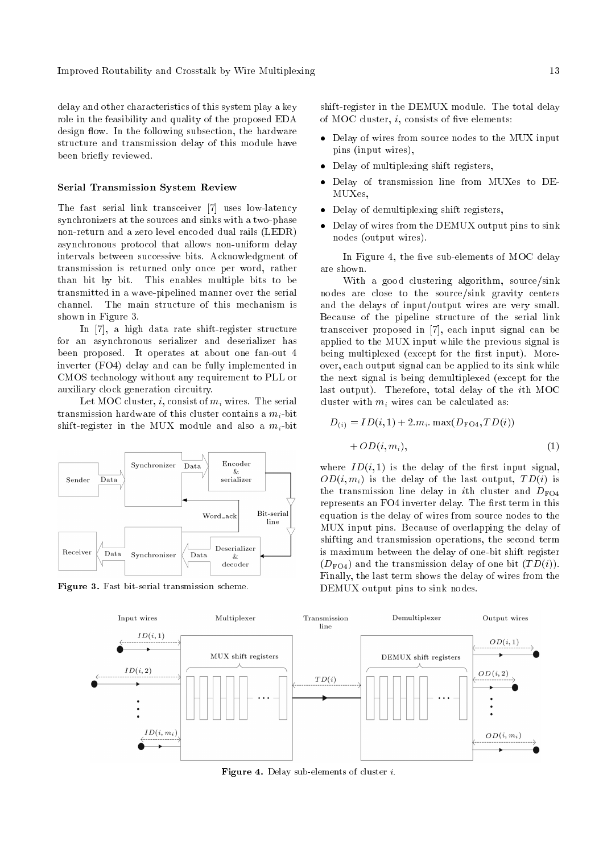delay and other characteristics of this system play a key role in the feasibility and quality of the proposed EDA design flow. In the following subsection, the hardware structure and transmission delay of this module have been briefly reviewed.

#### Serial Transmission System Review

The fast serial link transceiver [7] uses low-latency synchronizers at the sources and sinks with a two-phase non-return and a zero level encoded dual rails (LEDR) asynchronous protocol that allows non-uniform delay intervals between successive bits. Acknowledgment of transmission is returned only once per word, rather than bit by bit. This enables multiple bits to be transmitted in a wave-pipelined manner over the serial channel. The main structure of this mechanism is shown in Figure 3.

In [7], a high data rate shift-register structure for an asynchronous serializer and deserializer has been proposed. It operates at about one fan-out 4 inverter (FO4) delay and can be fully implemented in CMOS technology without any requirement to PLL or auxiliary clock generation circuitry.

Let MOC cluster, i, consist of  $m_i$  wires. The serial transmission hardware of this cluster contains a  $m_i$ -bit shift-register in the MUX module and also a  $m_i$ -bit



Figure 3. Fast bit-serial transmission scheme.

shift-register in the DEMUX module. The total delay of MOC cluster,  $i$ , consists of five elements:

- Delay of wires from source nodes to the MUX input pins (input wires),
- Delay of multiplexing shift registers,
- Delay of transmission line from MUXes to DE-MUXes,
- Delay of demultiplexing shift registers,
- Delay of wires from the DEMUX output pins to sink nodes (output wires).

In Figure 4, the five sub-elements of MOC delay are shown.

With a good clustering algorithm, source/sink nodes are close to the source/sink gravity centers and the delays of input/output wires are very small. Because of the pipeline structure of the serial link transceiver proposed in [7], each input signal can be applied to the MUX input while the previous signal is being multiplexed (except for the first input). Moreover, each output signal can be applied to its sink while the next signal is being demultiplexed (except for the last output). Therefore, total delay of the ith MOC cluster with  $m_i$  wires can be calculated as:

$$
D_{(i)} = ID(i, 1) + 2.m_i. \max(D_{\text{FO4}}, TD(i))
$$
  
+  $OD(i, m_i),$  (1)

where  $ID(i, 1)$  is the delay of the first input signal,  $OD(i, m<sub>i</sub>)$  is the delay of the last output,  $TD(i)$  is the transmission line delay in *i*th cluster and  $D_{FO4}$ represents an FO4 inverter delay. The first term in this equation is the delay of wires from source nodes to the MUX input pins. Because of overlapping the delay of shifting and transmission operations, the second term is maximum between the delay of one-bit shift register  $(D_{\text{FO4}})$  and the transmission delay of one bit  $(TD(i))$ . Finally, the last term shows the delay of wires from the DEMUX output pins to sink nodes.



Figure 4. Delay sub-elements of cluster i.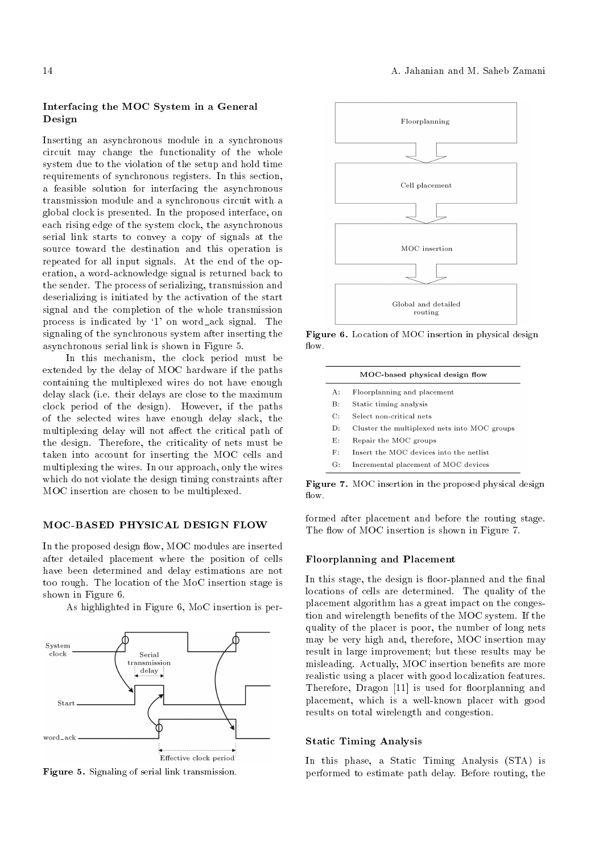## Interfacing the MOC System in a General Design

Inserting an asynchronous module in a synchronous circuit may change the functionality of the whole system due to the violation of the setup and hold time requirements of synchronous registers. In this section, a feasible solution for interfacing the asynchronous transmission module and a synchronous circuit with a global clock is presented. In the proposed interface, on each rising edge of the system clock, the asynchronous serial link starts to convey a copy of signals at the source toward the destination and this operation is repeated for all input signals. At the end of the operation, a word-acknowledge signal is returned back to the sender. The process of serializing, transmission and deserializing is initiated by the activation of the start signal and the completion of the whole transmission process is indicated by `1' on word ack signal. The signaling of the synchronous system after inserting the asynchronous serial link is shown in Figure 5.

In this mechanism, the clock period must be extended by the delay of MOC hardware if the paths containing the multiplexed wires do not have enough delay slack (i.e. their delays are close to the maximum clock period of the design). However, if the paths of the selected wires have enough delay slack, the multiplexing delay will not affect the critical path of the design. Therefore, the criticality of nets must be taken into account for inserting the MOC cells and multiplexing the wires. In our approach, only the wires which do not violate the design timing constraints after MOC insertion are chosen to be multiplexed.

## MOC-BASED PHYSICAL DESIGN FLOW

In the proposed design flow, MOC modules are inserted after detailed placement where the position of cells have been determined and delay estimations are not too rough. The location of the MoC insertion stage is shown in Figure 6.

As highlighted in Figure 6, MoC insertion is per-



Figure 5. Signaling of serial link transmission.



Figure 6. Location of MOC insertion in physical design  $flow.$ 

|                | MOC-based physical design flow               |  |  |  |  |  |
|----------------|----------------------------------------------|--|--|--|--|--|
| A:             | Floorplanning and placement                  |  |  |  |  |  |
| $\mathbf{B}$ : | Static timing analysis                       |  |  |  |  |  |
| C:             | Select non-critical nets                     |  |  |  |  |  |
| $\mathbf{D}$ : | Cluster the multiplexed nets into MOC groups |  |  |  |  |  |
| E:             | Repair the MOC groups                        |  |  |  |  |  |
| F:             | Insert the MOC devices into the netlist      |  |  |  |  |  |
| G:             | Incremental placement of MOC devices         |  |  |  |  |  |

Figure 7. MOC insertion in the proposed physical design flow.

formed after placement and before the routing stage. The flow of MOC insertion is shown in Figure 7.

#### Floorplanning and Placement

In this stage, the design is floor-planned and the final locations of cells are determined. The quality of the placement algorithm has a great impact on the congestion and wirelength benefits of the MOC system. If the quality of the placer is poor, the number of long nets may be very high and, therefore, MOC insertion may result in large improvement; but these results may be misleading. Actually, MOC insertion benefits are more realistic using a placer with good localization features. Therefore, Dragon [11] is used for floorplanning and placement, which is a well-known placer with good results on total wirelength and congestion.

#### Static Timing Analysis

In this phase, a Static Timing Analysis (STA) is performed to estimate path delay. Before routing, the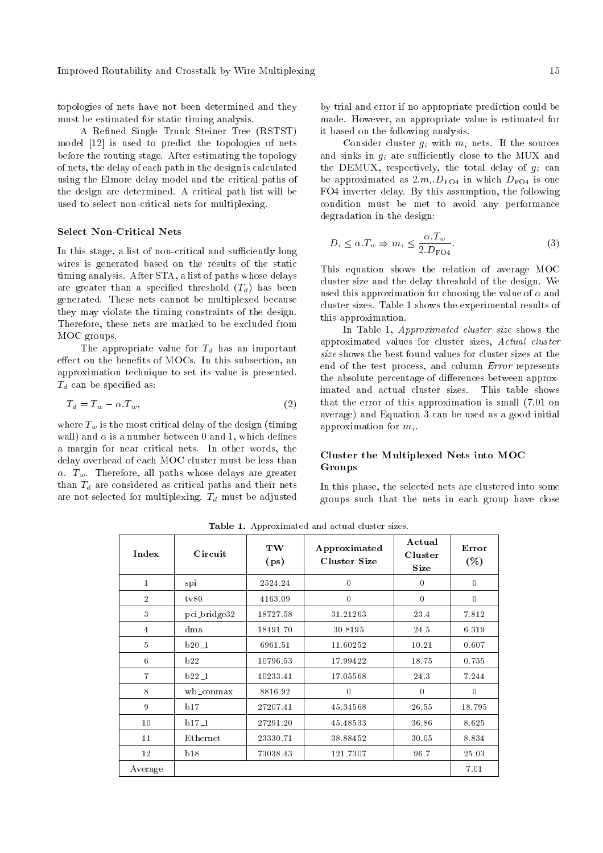topologies of nets have not been determined and they must be estimated for static timing analysis.

A Refined Single Trunk Steiner Tree (RSTST) model [12] is used to predict the topologies of nets before the routing stage. After estimating the topology of nets, the delay of each path in the design is calculated using the Elmore delay model and the critical paths of the design are determined. A critical path list will be used to select non-critical nets for multiplexing.

#### Select Non-Critical Nets

In this stage, a list of non-critical and sufficiently long wires is generated based on the results of the static timing analysis. After STA, a list of paths whose delays are greater than a specified threshold  $(T_d)$  has been generated. These nets cannot be multiplexed because they may violate the timing constraints of the design. Therefore, these nets are marked to be excluded from MOC groups.

The appropriate value for  $T_d$  has an important effect on the benefits of MOCs. In this subsection, an approximation technique to set its value is presented.  $T_d$  can be specified as:

$$
T_d = T_w - \alpha \cdot T_w,\tag{2}
$$

where  $T_w$  is the most critical delay of the design (timing wall) and  $\alpha$  is a number between 0 and 1, which defines a margin for near critical nets. In other words, the delay overhead of each MOC cluster must be less than  $\alpha$ .  $T_w$ . Therefore, all paths whose delays are greater than  $T<sub>d</sub>$  are considered as critical paths and their nets are not selected for multiplexing.  $T_d$  must be adjusted by trial and error if no appropriate prediction could be made. However, an appropriate value is estimated for it based on the following analysis.

Consider cluster  $g_i$  with  $m_i$  nets. If the sources and sinks in  $q_i$  are sufficiently close to the MUX and the DEMUX, respectively, the total delay of  $g_i$  can be approximated as  $2.m_i.D<sub>FO4</sub>$  in which  $D<sub>FO4</sub>$  is one FO4 inverter delay. By this assumption, the following condition must be met to avoid any performance degradation in the design:

$$
D_i \le \alpha \cdot T_w \Rightarrow m_i \le \frac{\alpha \cdot T_w}{2 \cdot D_{\text{FO4}}}.\tag{3}
$$

This equation shows the relation of average MOC cluster size and the delay threshold of the design. We used this approximation for choosing the value of  $\alpha$  and cluster sizes. Table 1 shows the experimental results of this approximation.

In Table 1, Approximated cluster size shows the approximated values for cluster sizes, Actual cluster size shows the best found values for cluster sizes at the end of the test process, and column Error represents the absolute percentage of differences between approximated and actual cluster sizes. This table shows that the error of this approximation is small (7.01 on average) and Equation 3 can be used as a good initial approximation for  $m_i$ .

## Cluster the Multiplexed Nets into MOC Groups

In this phase, the selected nets are clustered into some groups such that the nets in each group have close

| Index          | Circuit      | TW<br>(p <sub>s</sub> ) | Approximated<br><b>Cluster Size</b> | Actual<br>Cluster<br>Size | Error<br>( %)    |
|----------------|--------------|-------------------------|-------------------------------------|---------------------------|------------------|
| $\mathbf{1}$   | spi          | 2524.24                 | $\theta$                            | $\Omega$                  | $\boldsymbol{0}$ |
| $\overline{2}$ | tv80         | 4163.09                 | $\theta$                            | $\theta$                  | $\theta$         |
| 3              | pci_bridge32 | 18727.58                | 31.21263                            | 23.4                      | 7.812            |
| $\overline{4}$ | dma          | 18491.70                | 30.8195                             | 24.5                      | 6.319            |
| $\overline{5}$ | $b20-1$      | 6961.51                 | 11.60252                            | 10.21                     | 0.607            |
| 6              | b22          | 10796.53                | 17.99422                            | 18.75                     | 0.755            |
| 7              | $b22-1$      | 10233.41                | 17.05568                            | 24.3                      | 7.244            |
| 8              | wb_conmax    | 8816.92                 | $\theta$                            | $\theta$                  | $\theta$         |
| 9              | b17          | 27207.41                | 45.34568                            | 26.55                     | 18.795           |
| 10             | $b17-1$      | 27291.20                | 45.48533                            | 36.86                     | 8.625            |
| 11             | Ethernet     | 23330.71                | 38.88452                            | 30.05                     | 8.834            |
| 12             | b18          | 73038.43                | 121.7307                            | 96.7                      | 25.03            |
| Average        |              |                         |                                     |                           | 7.01             |

Table 1. Approximated and actual cluster sizes.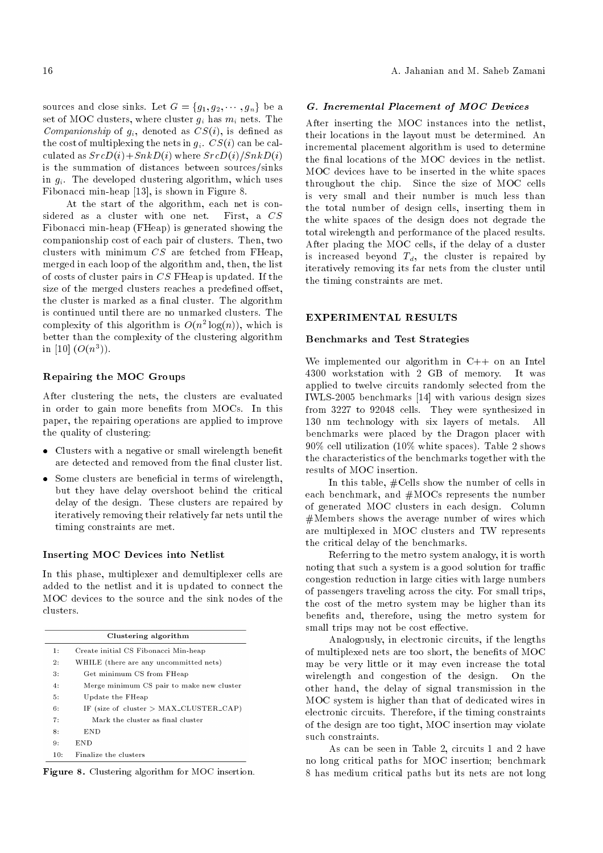sources and close sinks. Let  $G = \{g_1, g_2, \dots, g_n\}$  be a set of MOC clusters, where cluster  $g_i$  has  $m_i$  nets. The Companionship of  $g_i$ , denoted as  $CS(i)$ , is defined as the cost of multiplexing the nets in  $g_i$ .  $CS(i)$  can be calculated as  $SrcD(i)+SnkD(i)$  where  $SrcD(i)/SnkD(i)$ is the summation of distances between sources/sinks in  $g_i$ . The developed clustering algorithm, which uses Fibonacci min-heap [13], is shown in Figure 8.

At the start of the algorithm, each net is considered as a cluster with one net. First, a CS Fibonacci min-heap (FHeap) is generated showing the companionship cost of each pair of clusters. Then, two clusters with minimum  $CS$  are fetched from FHeap, merged in each loop of the algorithm and, then, the list of costs of cluster pairs in CS FHeap is updated. If the size of the merged clusters reaches a predefined offset, the cluster is marked as a final cluster. The algorithm is continued until there are no unmarked clusters. The complexity of this algorithm is  $O(n^2 \log(n))$ , which is better than the complexity of the clustering algorithm in [10]  $(O(n^3))$ .

### Repairing the MOC Groups

After clustering the nets, the clusters are evaluated in order to gain more benefits from MOCs. In this paper, the repairing operations are applied to improve the quality of clustering:

- Clusters with a negative or small wirelength benefit are detected and removed from the final cluster list.
- $\bullet$  Some clusters are beneficial in terms of wirelength, but they have delay overshoot behind the critical delay of the design. These clusters are repaired by iteratively removing their relatively far nets until the timing constraints are met.

#### Inserting MOC Devices into Netlist

In this phase, multiplexer and demultiplexer cells are added to the netlist and it is updated to connect the MOC devices to the source and the sink nodes of the clusters.

|     | Clustering algorithm                      |
|-----|-------------------------------------------|
| 1:  | Create initial CS Fibonacci Min-heap      |
| 2:  | WHILE (there are any uncommitted nets)    |
| 3:  | Get minimum CS from FHeap                 |
| 4:  | Merge minimum CS pair to make new cluster |
| 5:  | Update the FHeap                          |
| 6:  | IF (size of cluster $>$ MAX_CLUSTER_CAP)  |
| 7:  | Mark the cluster as final cluster         |
| 8:  | END                                       |
| 9:  | END                                       |
| 10: | Finalize the clusters                     |

Figure 8. Clustering algorithm for MOC insertion.

#### G. Incremental Placement of MOC Devices

After inserting the MOC instances into the netlist, their locations in the layout must be determined. An incremental placement algorithm is used to determine the final locations of the MOC devices in the netlist. MOC devices have to be inserted in the white spaces throughout the chip. Since the size of MOC cells is very small and their number is much less than the total number of design cells, inserting them in the white spaces of the design does not degrade the total wirelength and performance of the placed results. After placing the MOC cells, if the delay of a cluster is increased beyond  $T_d$ , the cluster is repaired by iteratively removing its far nets from the cluster until the timing constraints are met.

#### EXPERIMENTAL RESULTS

## Benchmarks and Test Strategies

We implemented our algorithm in  $C++$  on an Intel 4300 workstation with 2 GB of memory. It was applied to twelve circuits randomly selected from the IWLS-2005 benchmarks [14] with various design sizes from 3227 to 92048 cells. They were synthesized in 130 nm technology with six layers of metals. All benchmarks were placed by the Dragon placer with 90% cell utilization (10% white spaces). Table 2 shows the characteristics of the benchmarks together with the results of MOC insertion.

In this table, #Cells show the number of cells in each benchmark, and #MOCs represents the number of generated MOC clusters in each design. Column #Members shows the average number of wires which are multiplexed in MOC clusters and TW represents the critical delay of the benchmarks.

Referring to the metro system analogy, it is worth noting that such a system is a good solution for traffic congestion reduction in large cities with large numbers of passengers traveling across the city. For small trips, the cost of the metro system may be higher than its benefits and, therefore, using the metro system for small trips may not be cost effective.

Analogously, in electronic circuits, if the lengths of multiplexed nets are too short, the benefits of MOC may be very little or it may even increase the total wirelength and congestion of the design. On the other hand, the delay of signal transmission in the MOC system is higher than that of dedicated wires in electronic circuits. Therefore, if the timing constraints of the design are too tight, MOC insertion may violate such constraints.

As can be seen in Table 2, circuits 1 and 2 have no long critical paths for MOC insertion; benchmark 8 has medium critical paths but its nets are not long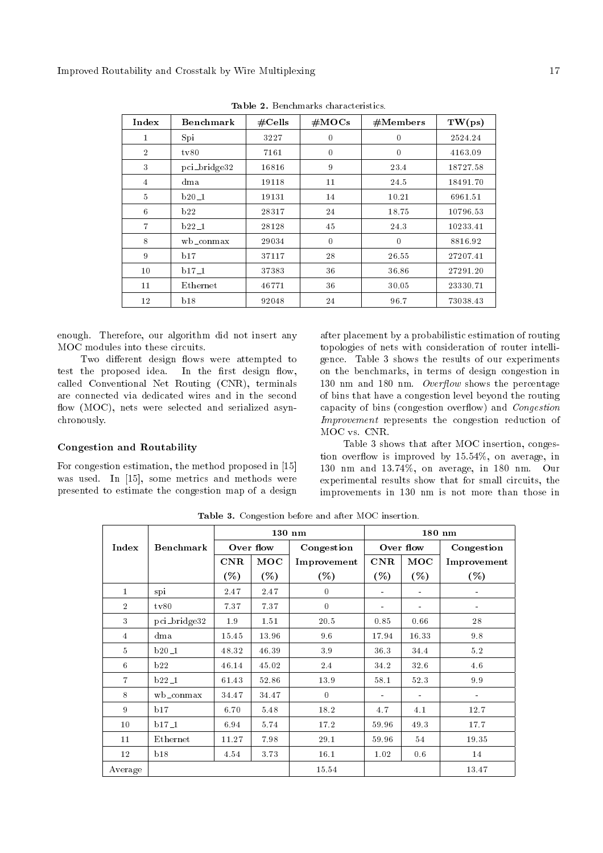| Index          | <b>Benchmark</b> | #Cells | #MOCs    | #Members         | TW(ps)   |
|----------------|------------------|--------|----------|------------------|----------|
| 1              | Spi              | 3227   | $\Omega$ | $\boldsymbol{0}$ | 2524.24  |
| $\overline{2}$ | tv80             | 7161   | $\theta$ | $\mathbf{0}$     | 4163.09  |
| 3              | pci_bridge32     | 16816  | 9        | 23.4             | 18727.58 |
| $\overline{4}$ | dma              | 19118  | 11       | 24.5             | 18491.70 |
| $\overline{5}$ | $b20-1$          | 19131  | 14       | 10.21            | 6961.51  |
| 6              | b22              | 28317  | 24       | 18.75            | 10796.53 |
| 7              | $b22-1$          | 28128  | 45       | 24.3             | 10233.41 |
| 8              | wb_conmax        | 29034  | $\theta$ | $\theta$         | 8816.92  |
| 9              | b17              | 37117  | 28       | 26.55            | 27207.41 |
| 10             | $b17-1$          | 37383  | 36       | 36.86            | 27291.20 |
| 11             | Ethernet         | 46771  | 36       | 30.05            | 23330.71 |
| 12             | b18              | 92048  | 24       | 96.7             | 73038.43 |

Table 2. Benchmarks characteristics.

enough. Therefore, our algorithm did not insert any MOC modules into these circuits.

Two different design flows were attempted to test the proposed idea. In the first design flow, called Conventional Net Routing (CNR), terminals are connected via dedicated wires and in the second flow (MOC), nets were selected and serialized asynchronously.

## Congestion and Routability

For congestion estimation, the method proposed in [15] was used. In [15], some metrics and methods were presented to estimate the congestion map of a design

after placement by a probabilistic estimation of routing topologies of nets with consideration of router intelligence. Table 3 shows the results of our experiments on the benchmarks, in terms of design congestion in 130 nm and 180 nm. *Overflow* shows the percentage of bins that have a congestion level beyond the routing capacity of bins (congestion overflow) and *Congestion* Improvement represents the congestion reduction of MOC vs. CNR.

Table 3 shows that after MOC insertion, congestion overflow is improved by 15.54%, on average, in 130 nm and 13.74%, on average, in 180 nm. Our experimental results show that for small circuits, the improvements in 130 nm is not more than those in

|                |              |           | $130$ nm  |                  |                | $180$ nm  |             |  |
|----------------|--------------|-----------|-----------|------------------|----------------|-----------|-------------|--|
| Index          | Benchmark    |           | Over flow | Congestion       |                | Over flow | Congestion  |  |
|                |              | $\rm CNR$ | MOC       | Improvement      | $\rm CNR$      | MOC       | Improvement |  |
|                |              | $(\%)$    | (%)       | ( %)             | $(\% )$        | $(\% )$   | $(\%)$      |  |
| $\mathbf{1}$   | spi          | 2.47      | 2.47      | $\boldsymbol{0}$ |                |           |             |  |
| $\overline{2}$ | tv80         | 7.37      | 7.37      | $\theta$         | $\blacksquare$ |           |             |  |
| 3              | pci_bridge32 | 1.9       | 1.51      | 20.5             | 0.85           | 0.66      | 28          |  |
| $\overline{4}$ | dma          | 15.45     | 13.96     | 9.6              | 17.94          | 16.33     | 9.8         |  |
| $\overline{5}$ | $b20-1$      | 48.32     | 46.39     | 39               | 36.3           | 34.4      | 5.2         |  |
| 6              | b22          | 46.14     | 45.02     | 2.4              | 34.2           | 32.6      | 4.6         |  |
| $\overline{7}$ | $b22-1$      | 61.43     | 52.86     | 13.9             | 58.1           | 52.3      | $9.9\,$     |  |
| 8              | wb_conmax    | 34.47     | 34.47     | $\Omega$         |                |           |             |  |
| 9              | b17          | 6.70      | 5.48      | 18.2             | 4.7            | 4.1       | 12.7        |  |
| 10             | $b17-1$      | 6.94      | 5.74      | 17.2             | 59.96          | 49.3      | 17.7        |  |
| $11\,$         | Ethernet     | 11.27     | 7.98      | 29.1             | 59.96          | 54        | 19.35       |  |
| 12             | b18          | 4.54      | 3.73      | 16.1             | 1.02           | 0.6       | 14          |  |
| Average        |              |           |           | 15.54            |                |           | 13.47       |  |

Table 3. Congestion before and after MOC insertion.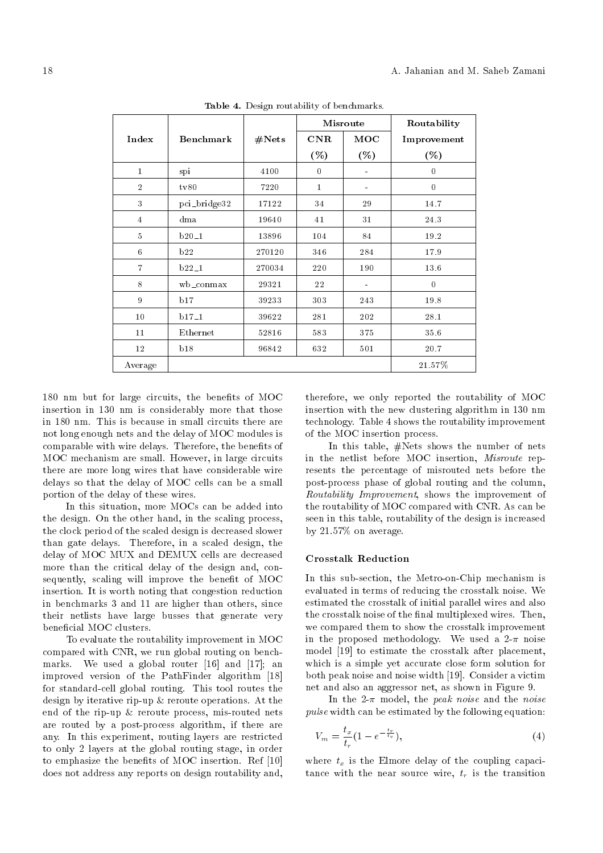|                |                  |        | Misroute         |         | Routability      |
|----------------|------------------|--------|------------------|---------|------------------|
| Index          | <b>Benchmark</b> | #Nets  | <b>CNR</b>       | MOC     | Improvement      |
|                |                  |        | ( %)             | $(\% )$ | (%)              |
| $\mathbf{1}$   | spi              | 4100   | $\boldsymbol{0}$ |         | $\boldsymbol{0}$ |
| $\overline{2}$ | tv80             | 7220   | $\mathbf{1}$     |         | $\boldsymbol{0}$ |
| 3              | pci_bridge32     | 17122  | 34               | 29      | 14.7             |
| $\overline{4}$ | dma              | 19640  | 41               | 31      | 24.3             |
| 5              | $b20-1$          | 13896  | 104              | 84      | 19.2             |
| 6              | b22              | 270120 | 346              | 284     | 17.9             |
| $\overline{7}$ | $b22-1$          | 270034 | 220              | 190     | 13.6             |
| $8\,$          | wb_conmax        | 29321  | 22               |         | $\boldsymbol{0}$ |
| 9              | b17              | 39233  | 303              | 243     | 19.8             |
| 10             | $b17-1$          | 39622  | 281              | 202     | 28.1             |
| 11             | Ethernet         | 52816  | 583              | 375     | 35.6             |
| 12             | b18              | 96842  | 632              | 501     | 20.7             |
| Average        |                  |        |                  |         | $21.57\%$        |

Table 4. Design routability of benchmarks.

180 nm but for large circuits, the benefits of MOC insertion in 130 nm is considerably more that those in 180 nm. This is because in small circuits there are not long enough nets and the delay of MOC modules is comparable with wire delays. Therefore, the benefits of MOC mechanism are small. However, in large circuits there are more long wires that have considerable wire delays so that the delay of MOC cells can be a small portion of the delay of these wires.

In this situation, more MOCs can be added into the design. On the other hand, in the scaling process, the clock period of the scaled design is decreased slower than gate delays. Therefore, in a scaled design, the delay of MOC MUX and DEMUX cells are decreased more than the critical delay of the design and, consequently, scaling will improve the benefit of MOC insertion. It is worth noting that congestion reduction in benchmarks 3 and 11 are higher than others, since their netlists have large busses that generate very beneficial MOC clusters.

To evaluate the routability improvement in MOC compared with CNR, we run global routing on benchmarks. We used a global router [16] and [17]; an improved version of the PathFinder algorithm [18] for standard-cell global routing. This tool routes the design by iterative rip-up & reroute operations. At the end of the rip-up & reroute process, mis-routed nets are routed by a post-process algorithm, if there are any. In this experiment, routing layers are restricted to only 2 layers at the global routing stage, in order to emphasize the benefits of MOC insertion. Ref [10] does not address any reports on design routability and, therefore, we only reported the routability of MOC insertion with the new clustering algorithm in 130 nm technology. Table 4 shows the routability improvement of the MOC insertion process.

In this table, #Nets shows the number of nets in the netlist before MOC insertion, Misroute represents the percentage of misrouted nets before the post-process phase of global routing and the column, Routability Improvement, shows the improvement of the routability of MOC compared with CNR. As can be seen in this table, routability of the design is increased by 21.57% on average.

## Crosstalk Reduction

In this sub-section, the Metro-on-Chip mechanism is evaluated in terms of reducing the crosstalk noise. We estimated the crosstalk of initial parallel wires and also the crosstalk noise of the final multiplexed wires. Then, we compared them to show the crosstalk improvement in the proposed methodology. We used a  $2-\pi$  noise model [19] to estimate the crosstalk after placement, which is a simple yet accurate close form solution for both peak noise and noise width [19]. Consider a victim net and also an aggressor net, as shown in Figure 9.

In the 2- $\pi$  model, the *peak noise* and the *noise* pulse width can be estimated by the following equation:

$$
V_m = \frac{t_x}{t_r} (1 - e^{-\frac{t_r}{t_v}}),
$$
\n(4)

where  $t_x$  is the Elmore delay of the coupling capacitance with the near source wire,  $t_r$  is the transition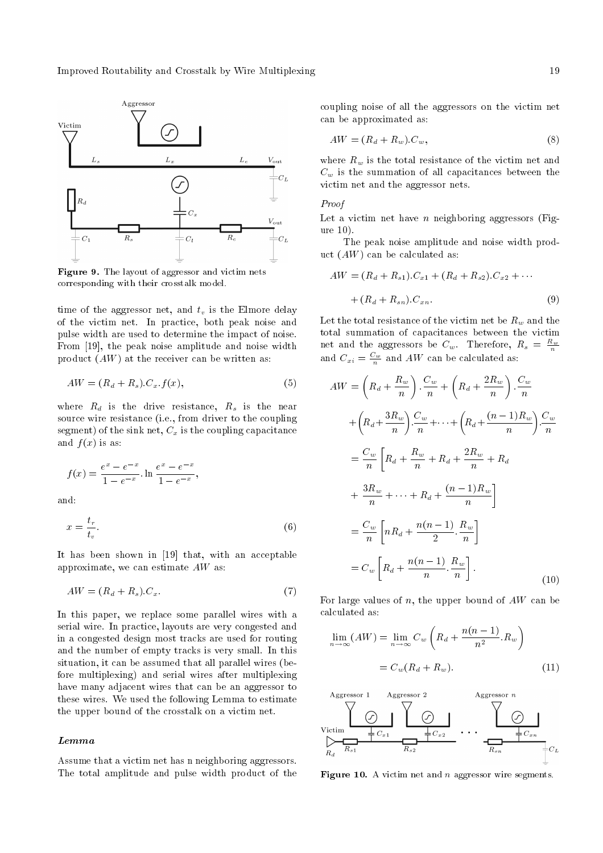Improved Routability and Crosstalk by Wire Multiplexing 19



Figure 9. The layout of aggressor and victim nets corresponding with their crosstalk model.

time of the aggressor net, and  $t_v$  is the Elmore delay of the victim net. In practice, both peak noise and pulse width are used to determine the impact of noise. From [19], the peak noise amplitude and noise width product  $(AW)$  at the receiver can be written as:

$$
AW = (R_d + R_s) \cdot C_x \cdot f(x),\tag{5}
$$

where  $R_d$  is the drive resistance,  $R_s$  is the near source wire resistance (i.e., from driver to the coupling segment) of the sink net,  $C_x$  is the coupling capacitance and  $f(x)$  is as:

$$
f(x) = \frac{e^x - e^{-x}}{1 - e^{-x}} \cdot \ln \frac{e^x - e^{-x}}{1 - e^{-x}},
$$

and:

$$
x = \frac{t_r}{t_v}.\tag{6}
$$

It has been shown in [19] that, with an acceptable approximate, we can estimate AW as:

$$
AW = (R_d + R_s).C_x.
$$
\n<sup>(7)</sup>

In this paper, we replace some parallel wires with a serial wire. In practice, layouts are very congested and in a congested design most tracks are used for routing and the number of empty tracks is very small. In this situation, it can be assumed that all parallel wires (before multiplexing) and serial wires after multiplexing have many adjacent wires that can be an aggressor to these wires. We used the following Lemma to estimate the upper bound of the crosstalk on a victim net.

#### Lemma

Assume that a victim net has n neighboring aggressors. The total amplitude and pulse width product of the coupling noise of all the aggressors on the victim net can be approximated as:

$$
AW = (R_d + R_w).C_w,
$$
\n<sup>(8)</sup>

where  $R_w$  is the total resistance of the victim net and  $C_w$  is the summation of all capacitances between the victim net and the aggressor nets.

## Proof

Let a victim net have  $n$  neighboring aggressors (Figure 10).

The peak noise amplitude and noise width product  $(AW)$  can be calculated as:

$$
AW = (R_d + R_{s1}).C_{x1} + (R_d + R_{s2}).C_{x2} + \cdots
$$

$$
+ (R_d + R_{sn}).C_{xn}.
$$

$$
(9)
$$

Let the total resistance of the victim net be  $R_w$  and the total summation of capacitances between the victim net and the aggressors be  $C_w$ . Therefore,  $R_s = \frac{R_w}{n}$ and  $C_{xi} = \frac{C_w}{n}$  and AW can be calculated as:

$$
AW = \left(R_d + \frac{R_w}{n}\right) \cdot \frac{C_w}{n} + \left(R_d + \frac{2R_w}{n}\right) \cdot \frac{C_w}{n}
$$

$$
+ \left(R_d + \frac{3R_w}{n}\right) \cdot \frac{C_w}{n} + \dots + \left(R_d + \frac{(n-1)R_w}{n}\right) \cdot \frac{C_w}{n}
$$

$$
= \frac{C_w}{n} \left[R_d + \frac{R_w}{n} + R_d + \frac{2R_w}{n} + R_d
$$

$$
+ \frac{3R_w}{n} + \dots + R_d + \frac{(n-1)R_w}{n}\right]
$$

$$
= \frac{C_w}{n} \left[nR_d + \frac{n(n-1)}{2} \cdot \frac{R_w}{n}\right]
$$

$$
= C_w \left[R_d + \frac{n(n-1)}{n} \cdot \frac{R_w}{n}\right]. \tag{10}
$$

For large values of  $n$ , the upper bound of  $AW$  can be calculated as:

$$
\lim_{n \to \infty} (AW) = \lim_{n \to \infty} C_w \left( R_d + \frac{n(n-1)}{n^2} R_w \right)
$$

$$
= C_w (R_d + R_w).
$$
 (11)



**Figure 10.** A victim net and  $n$  aggressor wire segments.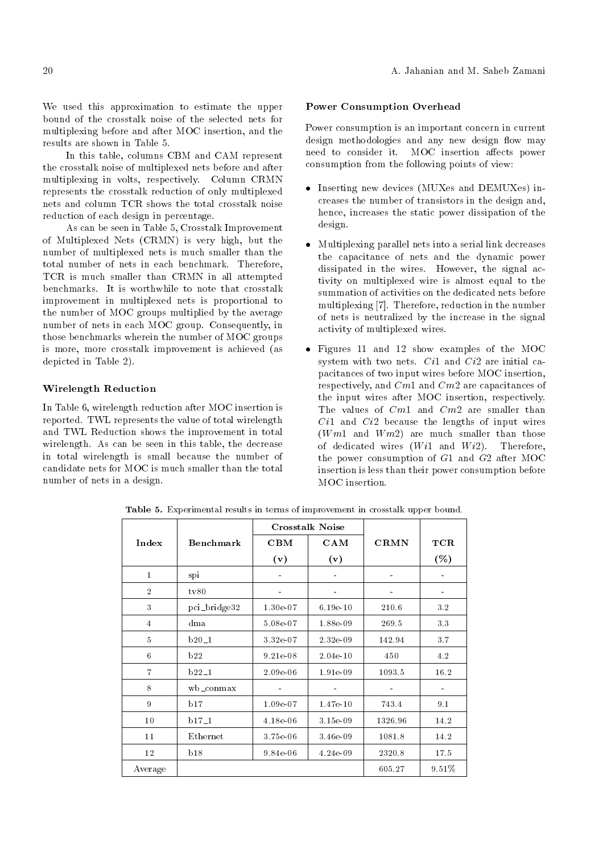We used this approximation to estimate the upper bound of the crosstalk noise of the selected nets for multiplexing before and after MOC insertion, and the results are shown in Table 5.

In this table, columns CBM and CAM represent the crosstalk noise of multiplexed nets before and after multiplexing in volts, respectively. Column CRMN represents the crosstalk reduction of only multiplexed nets and column TCR shows the total crosstalk noise reduction of each design in percentage.

As can be seen in Table 5, Crosstalk Improvement of Multiplexed Nets (CRMN) is very high, but the number of multiplexed nets is much smaller than the total number of nets in each benchmark. Therefore, TCR is much smaller than CRMN in all attempted benchmarks. It is worthwhile to note that crosstalk improvement in multiplexed nets is proportional to the number of MOC groups multiplied by the average number of nets in each MOC group. Consequently, in those benchmarks wherein the number of MOC groups is more, more crosstalk improvement is achieved (as depicted in Table 2).

## Wirelength Reduction

In Table 6, wirelength reduction after MOC insertion is reported. TWL represents the value of total wirelength and TWL Reduction shows the improvement in total wirelength. As can be seen in this table, the decrease in total wirelength is small because the number of candidate nets for MOC is much smaller than the total number of nets in a design.

## Power Consumption Overhead

Power consumption is an important concern in current design methodologies and any new design flow may need to consider it. MOC insertion affects power consumption from the following points of view:

- Inserting new devices (MUXes and DEMUXes) increases the number of transistors in the design and, hence, increases the static power dissipation of the design.
- Multiplexing parallel nets into a serial link decreases the capacitance of nets and the dynamic power dissipated in the wires. However, the signal activity on multiplexed wire is almost equal to the summation of activities on the dedicated nets before multiplexing [7]. Therefore, reduction in the number of nets is neutralized by the increase in the signal activity of multiplexed wires.
- Figures 11 and 12 show examples of the MOC system with two nets.  $Ci1$  and  $Ci2$  are initial capacitances of two input wires before MOC insertion, respectively, and Cm1 and Cm2 are capacitances of the input wires after MOC insertion, respectively. The values of  $Cm1$  and  $Cm2$  are smaller than Ci1 and Ci2 because the lengths of input wires  $(Wm1$  and  $Wm2)$  are much smaller than those of dedicated wires  $(W_i1$  and  $W_i2$ ). Therefore, the power consumption of G1 and G2 after MOC insertion is less than their power consumption before MOC insertion.

|                |                  |             | <b>Crosstalk Noise</b> |             |         |
|----------------|------------------|-------------|------------------------|-------------|---------|
| Index          | <b>Benchmark</b> | $\rm CBM$   | <b>CAM</b>             | <b>CRMN</b> | TCR     |
|                |                  | (v)         | (v)                    |             | $(\% )$ |
| $\mathbf{1}$   | spi              |             |                        |             |         |
| $\overline{2}$ | tv80             |             |                        |             |         |
| 3              | pci_bridge32     | $1.30e-07$  | $6.19e-10$             | 210.6       | 3.2     |
| $\overline{4}$ | dma              | 5.08e-07    | 1.88e-09               | 269.5       | 3.3     |
| $\overline{5}$ | $b20-1$          | $3.32e-07$  | 2.32e 09               | 142.94      | 3.7     |
| 6              | b22              | $9.21e-0.8$ | 2.04e-10               | 450         | 4.2     |
| $\overline{7}$ | $b22-1$          | $2.09e-06$  | 1.91e-09               | 1093.5      | 16.2    |
| 8              | wb⊥conmax        |             |                        |             |         |
| 9              | b17              | 1.09e-07    | 1.47e-10               | 743.4       | 9.1     |
| 10             | $b17-1$          | $4.18e-06$  | 3.15e-09               | 1326.96     | 14.2    |
| 11             | Ethernet         | 3.75e-06    | 3.46e-09               | 1081.8      | 14.2    |
| 12             | b18              | 9.84e-06    | 4.24e-09               | 2320.8      | 17.5    |
| Average        |                  |             |                        | 605.27      | 9.51%   |

Table 5. Experimental results in terms of improvement in crosstalk upper bound.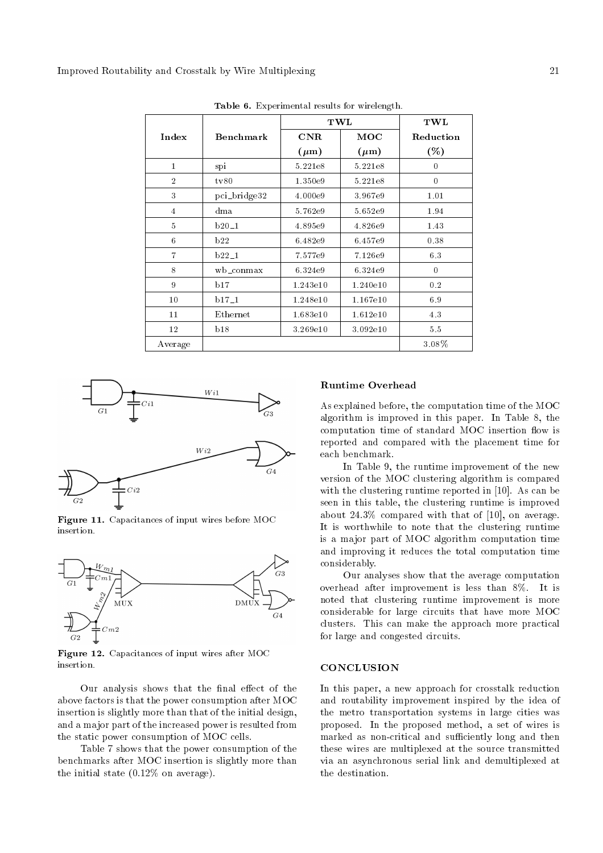|                |              | TWL       | TWL       |                |
|----------------|--------------|-----------|-----------|----------------|
| Index          | Benchmark    | $\bf CNR$ | MOC       | Reduction      |
|                |              | $(\mu m)$ | $(\mu m)$ | ( %)           |
| $\mathbf{1}$   | spi          | 5.221e8   | 5.221e8   | 0              |
| $\overline{2}$ | tv80         | 1.350e9   | 5.221e8   | $\overline{0}$ |
| 3              | pci_bridge32 | 4.000e9   | 3.967e9   | 1.01           |
| $\overline{4}$ | dma          | 5.762e9   | 5.652e9   | 1.94           |
| 5              | $b20-1$      | 4.895e9   | 4.826e9   | 1.43           |
| 6              | b22          | 6.482e9   | 6.457e9   | 0.38           |
| $\overline{7}$ | $b22-1$      | 7.577e9   | 7.126e9   | 6.3            |
| 8              | $wb\_connax$ | 6.324e9   | 6.324e9   | $\overline{0}$ |
| 9              | b17          | 1.243e10  | 1.240e10  | 0.2            |
| 10             | $b17-1$      | 1.248e10  | 1.167e10  | 6.9            |
| 11             | Ethernet     | 1.683e10  | 1.612e10  | 4.3            |
| 12             | b18          | 3.269e10  | 3.092e10  | 5.5            |
| Average        |              |           |           | 3.08%          |

Table 6. Experimental results for wirelength.



Figure 11. Capacitances of input wires before MOC insertion.



Figure 12. Capacitances of input wires after MOC insertion.

Our analysis shows that the final effect of the above factors is that the power consumption after MOC insertion is slightly more than that of the initial design, and a major part of the increased power is resulted from the static power consumption of MOC cells.

Table 7 shows that the power consumption of the benchmarks after MOC insertion is slightly more than the initial state (0.12% on average).

#### Runtime Overhead

As explained before, the computation time of the MOC algorithm is improved in this paper. In Table 8, the computation time of standard MOC insertion flow is reported and compared with the placement time for each benchmark.

In Table 9, the runtime improvement of the new version of the MOC clustering algorithm is compared with the clustering runtime reported in [10]. As can be seen in this table, the clustering runtime is improved about 24.3% compared with that of [10], on average. It is worthwhile to note that the clustering runtime is a major part of MOC algorithm computation time and improving it reduces the total computation time considerably.

Our analyses show that the average computation overhead after improvement is less than 8%. It is noted that clustering runtime improvement is more considerable for large circuits that have more MOC clusters. This can make the approach more practical for large and congested circuits.

#### **CONCLUSION**

In this paper, a new approach for crosstalk reduction and routability improvement inspired by the idea of the metro transportation systems in large cities was proposed. In the proposed method, a set of wires is marked as non-critical and sufficiently long and then these wires are multiplexed at the source transmitted via an asynchronous serial link and demultiplexed at the destination.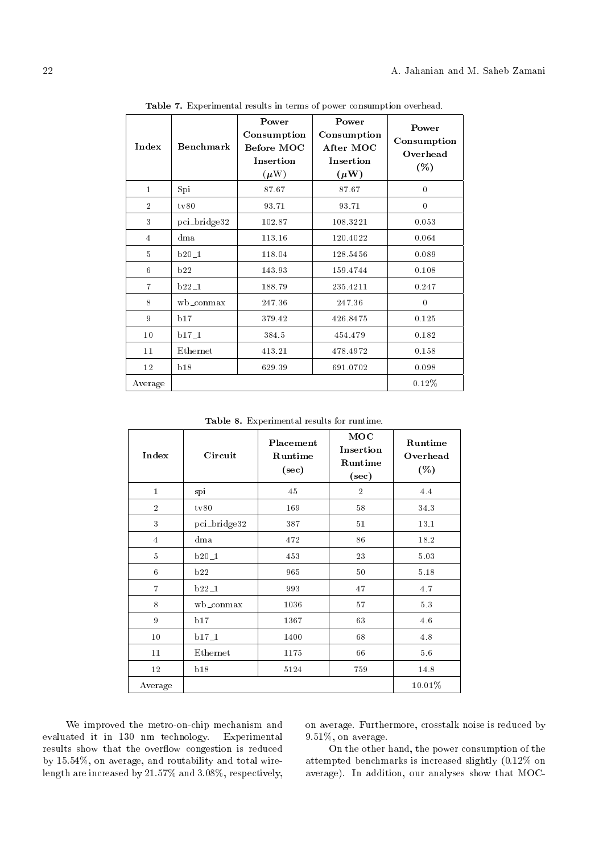| Index          | Benchmark    | Power<br>Consumption<br>Before MOC<br>Insertion<br>$(\mu W)$ | Power<br>Consumption<br>After MOC<br>Insertion<br>$(\mu W)$ | Power<br>Consumption<br>Overhead<br>( %) |
|----------------|--------------|--------------------------------------------------------------|-------------------------------------------------------------|------------------------------------------|
| $\mathbf{1}$   | Spi          | 87.67                                                        | 87.67                                                       | $\theta$                                 |
| $\overline{2}$ | tv80         | 93.71                                                        | 93.71                                                       | $\theta$                                 |
| 3              | pci_bridge32 | 102.87                                                       | 108.3221                                                    | 0.053                                    |
| 4              | dma          | 113.16                                                       | 120.4022                                                    | 0.064                                    |
| 5              | $b20-1$      | 118.04                                                       | 128.5456                                                    | 0.089                                    |
| 6              | b22          | 143.93                                                       | 159.4744                                                    | 0.108                                    |
| $\overline{7}$ | $b22-1$      | 188.79                                                       | 235.4211                                                    | 0.247                                    |
| 8              | wb_conmax    | 247.36                                                       | 247.36                                                      | $\theta$                                 |
| 9              | b17          | 379.42                                                       | 426.8475                                                    | 0.125                                    |
| 10             | $b17-1$      | 384.5                                                        | 454.479                                                     | 0.182                                    |
| 11             | Ethernet     | 413.21                                                       | 478.4972                                                    | 0.158                                    |
| 12             | b18          | 629.39                                                       | 691.0702                                                    | 0.098                                    |
| Average        |              |                                                              |                                                             | $0.12\%$                                 |

Table 7. Experimental results in terms of power consumption overhead.

Table 8. Experimental results for runtime.

| Index          | Circuit      | Placement<br>Runtime<br>$(\sec)$ | MOC<br>Insertion<br>Runtime<br>$(\sec)$ | Runtime<br>Overhead<br>(%) |
|----------------|--------------|----------------------------------|-----------------------------------------|----------------------------|
| $\mathbf{1}$   | spi          | 45                               | $\overline{2}$                          | 4.4                        |
| $\overline{2}$ | tv80         | 169                              | 58                                      | 34 3                       |
| 3              | pci_bridge32 | 387                              | 51                                      | 13.1                       |
| $\overline{4}$ | dma          | 472                              | 86                                      | 18.2                       |
| $\overline{5}$ | $b20-1$      | 453                              | 23                                      | 5.03                       |
| 6              | b22          | 965                              | 50                                      | 5.18                       |
| $\overline{7}$ | $b22-1$      | 993                              | 47                                      | 4.7                        |
| 8              | wb_conmax    | 1036                             | 57                                      | 5.3                        |
| 9              | b17          | 1367                             | 63                                      | 4.6                        |
| 10             | $b17-1$      | 1400                             | 68                                      | 4.8                        |
| 11             | Ethernet     | 1175                             | 66                                      | 5.6                        |
| 12             | b18          | 5124                             | 759                                     | 14.8                       |
| Average        |              |                                  |                                         | 10.01%                     |

We improved the metro-on-chip mechanism and evaluated it in 130 nm technology. Experimental results show that the overflow congestion is reduced by 15.54%, on average, and routability and total wirelength are increased by 21.57% and 3.08%, respectively, on average. Furthermore, crosstalk noise is reduced by 9.51%, on average.

On the other hand, the power consumption of the attempted benchmarks is increased slightly (0.12% on average). In addition, our analyses show that MOC-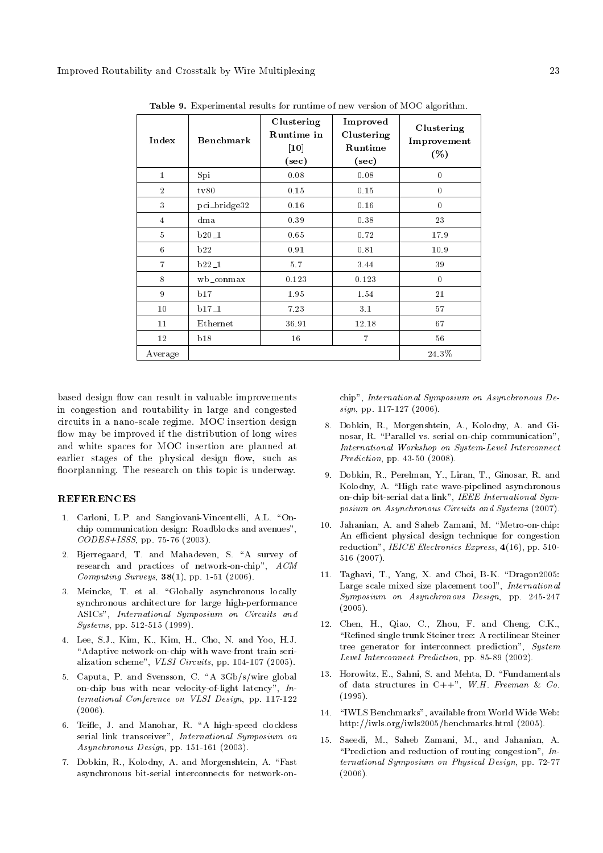| Index          | Benchmark    | Clustering<br>Runtime in<br>$[10]$<br>$(\sec)$ | Improved<br>Clustering<br>Runtime<br>$(\mathrm{sec})$ | Clustering<br>Improvement<br>( %) |
|----------------|--------------|------------------------------------------------|-------------------------------------------------------|-----------------------------------|
| $\mathbf{1}$   | Spi          | 0.08                                           | 0.08                                                  | $\theta$                          |
| $\overline{2}$ | tv80         | 0.15                                           | 0.15                                                  | $\theta$                          |
| 3              | pci_bridge32 | 0.16                                           | 0.16                                                  | $\overline{0}$                    |
| $\overline{4}$ | dma          | 0.39                                           | 0.38                                                  | 23                                |
| $\overline{5}$ | $b20-1$      | 0.65                                           | 0.72                                                  | 17.9                              |
| 6              | b22          | 0.91                                           | 0.81                                                  | 10.9                              |
| $\overline{7}$ | $b22-1$      | 5.7                                            | 3.44                                                  | 39                                |
| 8              | wb_conmax    | 0.123                                          | 0.123                                                 | $\theta$                          |
| 9              | b17          | 1.95                                           | 1.54                                                  | 21                                |
| 10             | $b17-1$      | 7.23                                           | 3.1                                                   | 57                                |
| 11             | Ethernet     | 36.91                                          | 12.18                                                 | 67                                |
| 12             | b18          | 16                                             | $\overline{7}$                                        | 56                                |
| Average        |              |                                                |                                                       | 24.3%                             |

Table 9. Experimental results for runtime of new version of MOC algorithm.

based design flow can result in valuable improvements in congestion and routability in large and congested circuits in a nano-scale regime. MOC insertion design flow may be improved if the distribution of long wires and white spaces for MOC insertion are planned at earlier stages of the physical design flow, such as floorplanning. The research on this topic is underway.

# **REFERENCES**

- 1. Carloni, L.P. and Sangiovani-Vincentelli, A.L. "Onchip communication design: Roadblocks and avenues", CODES+ISSS, pp. 75-76 (2003).
- 2. Bierregaard, T. and Mahadeven, S. "A survey of research and practices of network-on-chip", ACM Computing Surveys,  $38(1)$ , pp. 1-51 (2006).
- 3. Meincke, T. et al. "Globally asynchronous locally synchronous architecture for large high-performance ASICs", International Symposium on Circuits and Systems, pp. 512-515 (1999).
- 4. Lee, S.J., Kim, K., Kim, H., Cho, N. and Yoo, H.J. "Adaptive network-on-chip with wave-front train serialization scheme", VLSI Circuits, pp. 104-107 (2005).
- 5. Caputa, P. and Svensson, C. "A 3Gb/s/wire global on-chip bus with near velocity-of-light latency", International Conference on VLSI Design, pp. 117-122 (2006).
- 6. Teifle, J. and Manohar, R. "A high-speed clockless serial link transceiver", International Symposium on Asynchronous Design, pp. 151-161 (2003).
- 7. Dobkin, R., Kolodny, A. and Morgenshtein, A. \Fast asynchronous bit-serial interconnects for network-on-

chip", International Symposium on Asynchronous De $sign, pp. 117-127 (2006).$ 

- 8. Dobkin, R., Morgenshtein, A., Kolodny, A. and Ginosar, R. "Parallel vs. serial on-chip communication", International Workshop on System-Level Interconnect Prediction, pp. 43-50 (2008).
- 9. Dobkin, R., Perelman, Y., Liran, T., Ginosar, R. and Kolodny, A. "High rate wave-pipelined asynchronous on-chip bit-serial data link", IEEE International Symposium on Asynchronous Circuits and Systems (2007).
- 10. Jahanian, A. and Saheb Zamani, M. \Metro-on-chip: An efficient physical design technique for congestion reduction", IEICE Electronics Express, 4(16), pp. 510-516 (2007).
- 11. Taghavi, T., Yang, X. and Choi, B-K. \Dragon2005: Large scale mixed size placement tool", International Symposium on Asynchronous Design, pp. 245-247 (2005).
- 12. Chen, H., Qiao, C., Zhou, F. and Cheng, C.K., "Refined single trunk Steiner tree: A rectilinear Steiner tree generator for interconnect prediction", System Level Interconnect Prediction, pp. 85-89 (2002).
- 13. Horowitz, E., Sahni, S. and Mehta, D. \Fundamentals of data structures in  $C++$ ", W.H. Freeman & Co. (1995).
- 14. "IWLS Benchmarks", available from World Wide Web: http://iwls.org/iwls2005/benchmarks.html (2005).
- 15. Saeedi, M., Saheb Zamani, M., and Jahanian, A. "Prediction and reduction of routing congestion",  $In$ ternational Symposium on Physical Design, pp. 72-77 (2006).